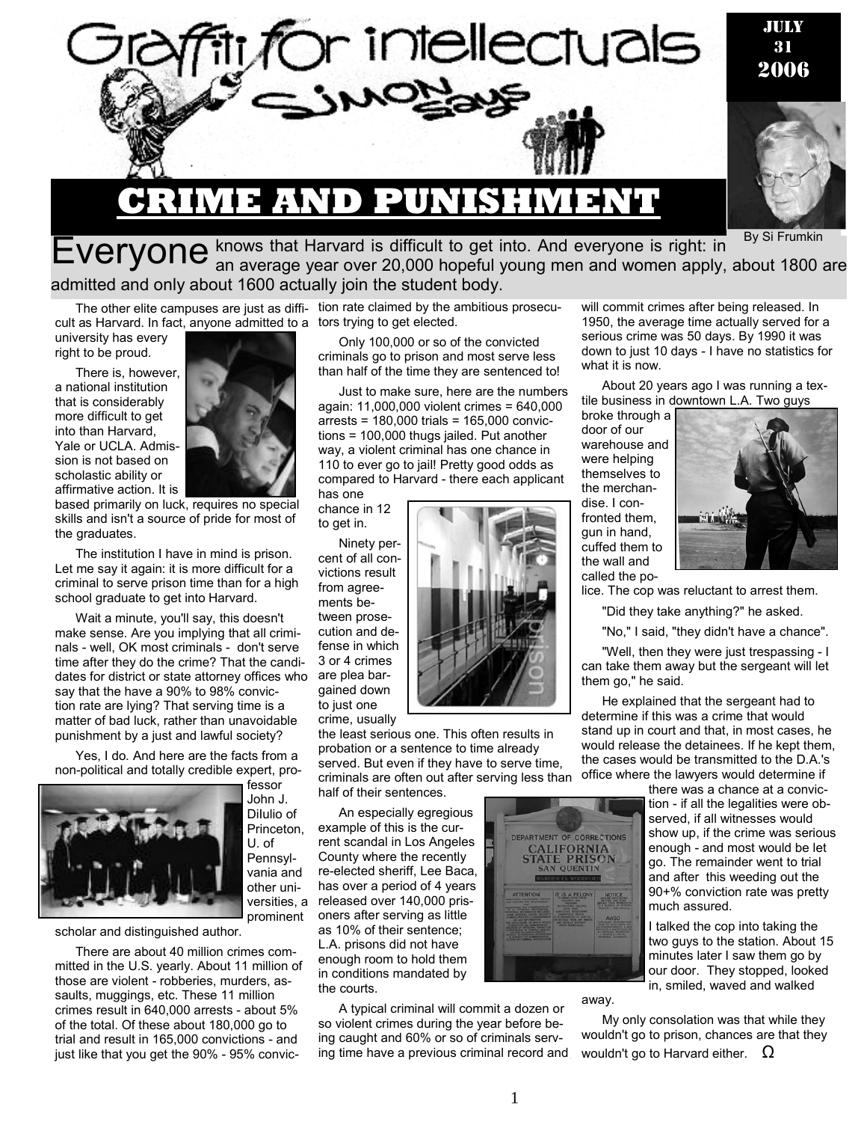

By Si Frumkin

## Everyone knows that Harvard is difficult to get into. And everyone is right: in <sup>By Si Frumkin</sup><br>EVeryone <sub>an average year over 20,000 hopeful young men and women apply, about 1800 are</sub> admitted and only about 1600 actually join the student body.

cult as Harvard. In fact, anyone admitted to a tors trying to get elected.

university has every right to be proud.

There is, however, a national institution that is considerably more difficult to get into than Harvard, Yale or UCLA. Admission is not based on scholastic ability or affirmative action. It is



based primarily on luck, requires no special skills and isn't a source of pride for most of the graduates.

The institution I have in mind is prison. Let me say it again: it is more difficult for a criminal to serve prison time than for a high school graduate to get into Harvard.

Wait a minute, you'll say, this doesn't make sense. Are you implying that all criminals - well, OK most criminals - don't serve time after they do the crime? That the candidates for district or state attorney offices who say that the have a 90% to 98% conviction rate are lying? That serving time is a matter of bad luck, rather than unavoidable punishment by a just and lawful society?

Yes, I do. And here are the facts from a non-political and totally credible expert, pro-



fessor John J. DiIulio of Princeton, U. of Pennsylvania and other universities, a prominent

#### scholar and distinguished author.

There are about 40 million crimes committed in the U.S. yearly. About 11 million of those are violent - robberies, murders, assaults, muggings, etc. These 11 million crimes result in 640,000 arrests - about 5% of the total. Of these about 180,000 go to trial and result in 165,000 convictions - and just like that you get the 90% - 95% convic-

The other elite campuses are just as diffi-tion rate claimed by the ambitious prosecu-

Only 100,000 or so of the convicted criminals go to prison and most serve less than half of the time they are sentenced to!

Just to make sure, here are the numbers again: 11,000,000 violent crimes = 640,000 arrests = 180,000 trials = 165,000 convictions = 100,000 thugs jailed. Put another way, a violent criminal has one chance in 110 to ever go to jail! Pretty good odds as compared to Harvard - there each applicant

has one chance in 12 to get in.

Ninety percent of all convictions result from agreements be-

tween prosecution and defense in which 3 or 4 crimes are plea bargained down to just one crime, usually



the least serious one. This often results in probation or a sentence to time already served. But even if they have to serve time, criminals are often out after serving less than half of their sentences.

An especially egregious example of this is the current scandal in Los Angeles County where the recently re-elected sheriff, Lee Baca, has over a period of 4 years released over 140,000 prisoners after serving as little as 10% of their sentence; L.A. prisons did not have enough room to hold them in conditions mandated by the courts.

A typical criminal will commit a dozen or so violent crimes during the year before being caught and 60% or so of criminals serving time have a previous criminal record and will commit crimes after being released. In 1950, the average time actually served for a serious crime was 50 days. By 1990 it was down to just 10 days - I have no statistics for what it is now.

About 20 years ago I was running a textile business in downtown L.A. Two guys

broke through a door of our warehouse and were helping themselves to the merchandise. I confronted them, gun in hand, cuffed them to the wall and called the po-



lice. The cop was reluctant to arrest them.

"Did they take anything?" he asked.

"No," I said, "they didn't have a chance".

"Well, then they were just trespassing - I can take them away but the sergeant will let them go," he said.

He explained that the sergeant had to determine if this was a crime that would stand up in court and that, in most cases, he would release the detainees. If he kept them, the cases would be transmitted to the D.A.'s office where the lawyers would determine if

> there was a chance at a conviction - if all the legalities were observed, if all witnesses would show up, if the crime was serious enough - and most would be let go. The remainder went to trial and after this weeding out the 90+% conviction rate was pretty much assured.

I talked the cop into taking the two guys to the station. About 15 minutes later I saw them go by our door. They stopped, looked in, smiled, waved and walked

#### away.

DEPARTMENT OF CORRECTIONS **CALIFORNIA**<br>STATE PRISON IN QUENTIN

> My only consolation was that while they wouldn't go to prison, chances are that they wouldn't go to Harvard either.  $Ω$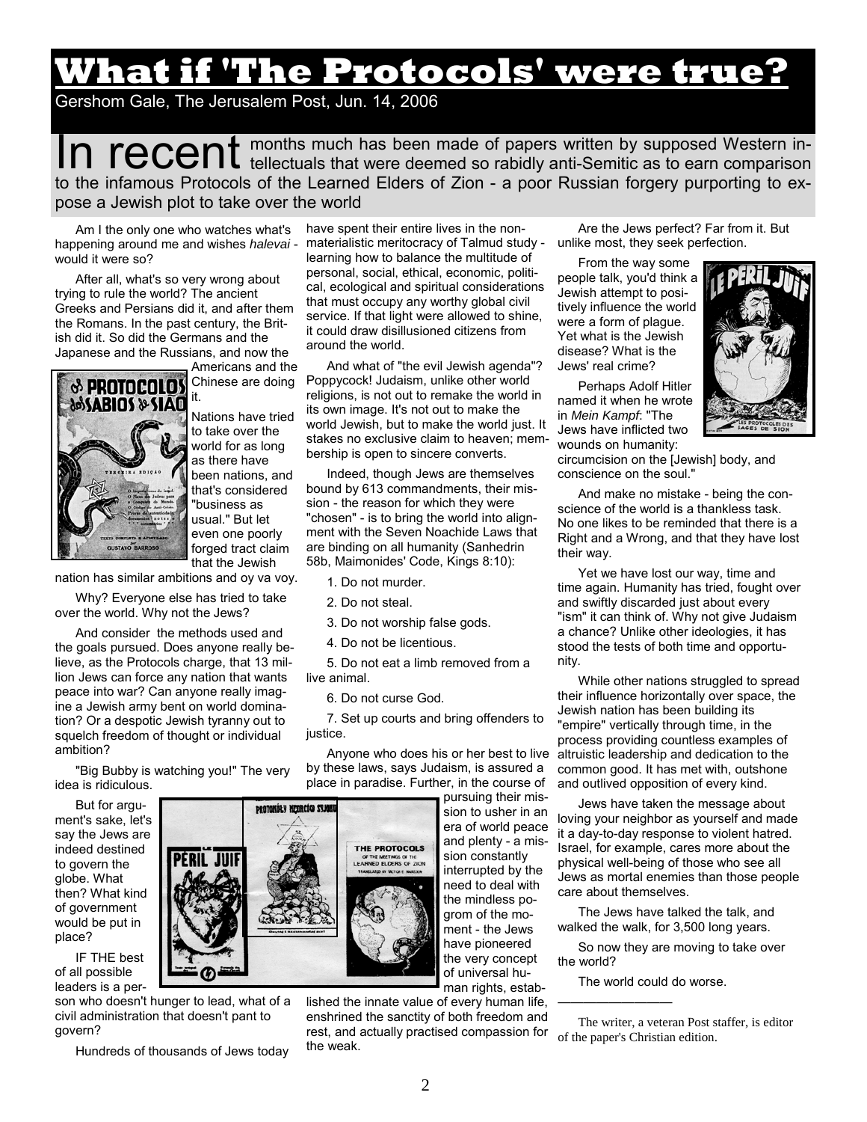# **What if 'The Protocols' were true?**

### Gershom Gale, The Jerusalem Post, Jun. 14, 2006

In recent months much has been made of papers written by supposed Western in-<br>In recent tellectuals that were deemed so rabidly anti-Semitic as to earn comparison to the infamous Protocols of the Learned Elders of Zion - a poor Russian forgery purporting to expose a Jewish plot to take over the world

Am I the only one who watches what's happening around me and wishes *halevai*  would it were so?

After all, what's so very wrong about trying to rule the world? The ancient Greeks and Persians did it, and after them the Romans. In the past century, the British did it. So did the Germans and the Japanese and the Russians, and now the



Chinese are doing it. Nations have tried to take over the world for as long as there have been nations, and that's considered "business as usual." But let even one poorly forged tract claim that the Jewish

nation has similar ambitions and oy va voy.

Why? Everyone else has tried to take over the world. Why not the Jews?

And consider the methods used and the goals pursued. Does anyone really believe, as the Protocols charge, that 13 million Jews can force any nation that wants peace into war? Can anyone really imagine a Jewish army bent on world domination? Or a despotic Jewish tyranny out to squelch freedom of thought or individual ambition?

"Big Bubby is watching you!" The very idea is ridiculous.

But for argument's sake, let's say the Jews are indeed destined to govern the globe. What then? What kind of government would be put in place?

IF THE best of all possible leaders is a per-

son who doesn't hunger to lead, what of a civil administration that doesn't pant to govern?

Hundreds of thousands of Jews today

have spent their entire lives in the nonmaterialistic meritocracy of Talmud study learning how to balance the multitude of personal, social, ethical, economic, political, ecological and spiritual considerations that must occupy any worthy global civil service. If that light were allowed to shine, it could draw disillusioned citizens from around the world.

And what of "the evil Jewish agenda"? Poppycock! Judaism, unlike other world religions, is not out to remake the world in its own image. It's not out to make the world Jewish, but to make the world just. It stakes no exclusive claim to heaven; membership is open to sincere converts.

Indeed, though Jews are themselves bound by 613 commandments, their mission - the reason for which they were "chosen" - is to bring the world into alignment with the Seven Noachide Laws that are binding on all humanity (Sanhedrin 58b, Maimonides' Code, Kings 8:10):

- 1. Do not murder.
- 2. Do not steal.
- 3. Do not worship false gods.
- 4. Do not be licentious.

5. Do not eat a limb removed from a live animal.

6. Do not curse God.

7. Set up courts and bring offenders to justice.

Anyone who does his or her best to live by these laws, says Judaism, is assured a place in paradise. Further, in the course of

> pursuing their mission to usher in an era of world peace and plenty - a mission constantly interrupted by the need to deal with the mindless pogrom of the moment - the Jews have pioneered the very concept of universal human rights, estab-

lished the innate value of every human life, enshrined the sanctity of both freedom and rest, and actually practised compassion for the weak.

Are the Jews perfect? Far from it. But unlike most, they seek perfection.

From the way some people talk, you'd think a Jewish attempt to positively influence the world were a form of plague. Yet what is the Jewish disease? What is the Jews' real crime?

Perhaps Adolf Hitler named it when he wrote in *Mein Kampf*: "The Jews have inflicted two wounds on humanity:



circumcision on the [Jewish] body, and conscience on the soul."

And make no mistake - being the conscience of the world is a thankless task. No one likes to be reminded that there is a Right and a Wrong, and that they have lost their way.

Yet we have lost our way, time and time again. Humanity has tried, fought over and swiftly discarded just about every "ism" it can think of. Why not give Judaism a chance? Unlike other ideologies, it has stood the tests of both time and opportunity.

While other nations struggled to spread their influence horizontally over space, the Jewish nation has been building its "empire" vertically through time, in the process providing countless examples of altruistic leadership and dedication to the common good. It has met with, outshone and outlived opposition of every kind.

Jews have taken the message about loving your neighbor as yourself and made it a day-to-day response to violent hatred. Israel, for example, cares more about the physical well-being of those who see all Jews as mortal enemies than those people care about themselves.

The Jews have talked the talk, and walked the walk, for 3,500 long years.

So now they are moving to take over the world?

The world could do worse.

—————————



The writer, a veteran Post staffer, is editor of the paper's Christian edition.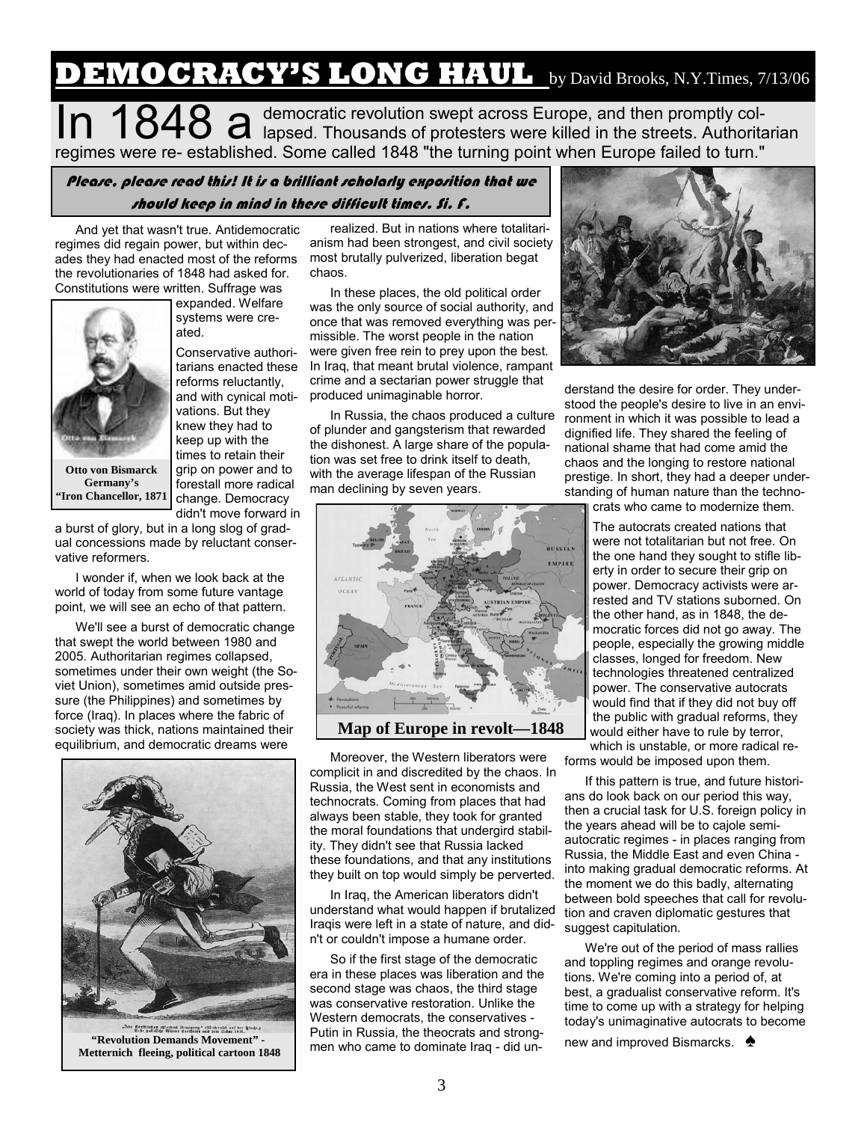## **DEMOCRACY'S LONG HAUL** by David Brooks, N.Y.Times, 7/13/06

In 1848 a democratic revolution swept across Europe, and then promptly col-<br>In 1848 a lapsed. Thousands of protesters were killed in the streets. Authoritarian regimes were re- established. Some called 1848 "the turning point when Europe failed to turn."

### Please, please read this! It is a brilliant scholarly exposition that we should keep in mind in these difficult times. Si. F.

And yet that wasn't true. Antidemocratic regimes did regain power, but within decades they had enacted most of the reforms the revolutionaries of 1848 had asked for. Constitutions were written. Suffrage was



expanded. Welfare systems were created.

Conservative authoritarians enacted these reforms reluctantly, and with cynical motivations. But they knew they had to keep up with the times to retain their grip on power and to forestall more radical change. Democracy didn't move forward in

a burst of glory, but in a long slog of gradual concessions made by reluctant conservative reformers.

I wonder if, when we look back at the world of today from some future vantage point, we will see an echo of that pattern.

We'll see a burst of democratic change that swept the world between 1980 and 2005. Authoritarian regimes collapsed, sometimes under their own weight (the Soviet Union), sometimes amid outside pressure (the Philippines) and sometimes by force (Iraq). In places where the fabric of society was thick, nations maintained their equilibrium, and democratic dreams were



**"Revolution Demands Movement" - Metternich fleeing, political cartoon 1848** 

realized. But in nations where totalitarianism had been strongest, and civil society most brutally pulverized, liberation begat chaos.

In these places, the old political order was the only source of social authority, and once that was removed everything was permissible. The worst people in the nation were given free rein to prey upon the best. In Iraq, that meant brutal violence, rampant crime and a sectarian power struggle that produced unimaginable horror.

In Russia, the chaos produced a culture of plunder and gangsterism that rewarded the dishonest. A large share of the population was set free to drink itself to death, with the average lifespan of the Russian man declining by seven years.



**Map of Europe in revolt—1848** 

Moreover, the Western liberators were complicit in and discredited by the chaos. In Russia, the West sent in economists and technocrats. Coming from places that had always been stable, they took for granted the moral foundations that undergird stability. They didn't see that Russia lacked these foundations, and that any institutions they built on top would simply be perverted.

In Iraq, the American liberators didn't understand what would happen if brutalized Iraqis were left in a state of nature, and didn't or couldn't impose a humane order.

So if the first stage of the democratic era in these places was liberation and the second stage was chaos, the third stage was conservative restoration. Unlike the Western democrats, the conservatives - Putin in Russia, the theocrats and strongmen who came to dominate Iraq - did un-



derstand the desire for order. They understood the people's desire to live in an environment in which it was possible to lead a dignified life. They shared the feeling of national shame that had come amid the chaos and the longing to restore national prestige. In short, they had a deeper understanding of human nature than the techno-

crats who came to modernize them.

The autocrats created nations that were not totalitarian but not free. On the one hand they sought to stifle liberty in order to secure their grip on power. Democracy activists were arrested and TV stations suborned. On the other hand, as in 1848, the democratic forces did not go away. The people, especially the growing middle classes, longed for freedom. New technologies threatened centralized power. The conservative autocrats would find that if they did not buy off the public with gradual reforms, they would either have to rule by terror, which is unstable, or more radical re-

forms would be imposed upon them.

If this pattern is true, and future historians do look back on our period this way, then a crucial task for U.S. foreign policy in the years ahead will be to cajole semiautocratic regimes - in places ranging from Russia, the Middle East and even China into making gradual democratic reforms. At the moment we do this badly, alternating between bold speeches that call for revolution and craven diplomatic gestures that suggest capitulation.

We're out of the period of mass rallies and toppling regimes and orange revolutions. We're coming into a period of, at best, a gradualist conservative reform. It's time to come up with a strategy for helping today's unimaginative autocrats to become

new and improved Bismarcks. <